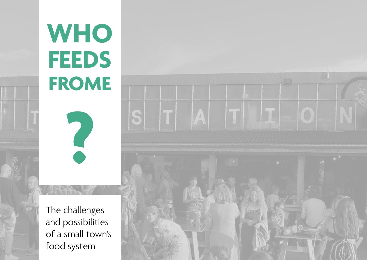# cover **WHO FEEDS FROME**

**?**

The challenges and possibilities of a small town's food system

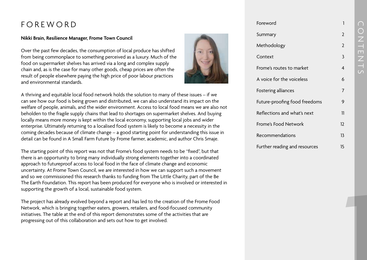#### FOREWORD

#### **Nikki Brain, Resilience Manager, Frome Town Council**

Over the past few decades, the consumption of local produce has shifted from being commonplace to something perceived as a luxury. Much of the food on supermarket shelves has arrived via a long and complex supply chain and, as is the case for many other goods, cheap prices are often the result of people elsewhere paying the high price of poor labour practices and environmental standards.



A thriving and equitable local food network holds the solution to many of these issues – if we can see how our food is being grown and distributed, we can also understand its impact on the welfare of people, animals, and the wider environment. Access to local food means we are also not beholden to the fragile supply chains that lead to shortages on supermarket shelves. And buying locally means more money is kept within the local economy, supporting local jobs and wider enterprise. Ultimately returning to a localised food system is likely to become a necessity in the coming decades because of climate change – a good starting point for understanding this issue in detail can be found in A Small Farm Future by Frome farmer, academic, and author Chris Smaje.

The starting point of this report was not that Frome's food system needs to be "fixed", but that there is an opportunity to bring many individually strong elements together into a coordinated approach to futureproof access to local food in the face of climate change and economic uncertainty. At Frome Town Council, we are interested in how we can support such a movement and so we commissioned this research thanks to funding from The Little Charity, part of the Be The Earth Foundation. This report has been produced for everyone who is involved or interested in supporting the growth of a local, sustainable food system.

The project has already evolved beyond a report and has led to the creation of the Frome Food Network, which is bringing together eaters, growers, retailers, and food-focused community initiatives. The table at the end of this report demonstrates some of the activities that are progressing out of this collaboration and sets out how to get involved.

#### Foreword Summary Methodology Context Frome's routes to market A voice for the voiceless Fostering alliances Future-proofing food freedoms Reflections and what's next Frome's Food Network Recommendations Further reading and resources 12 13 15

**1**

1

 $\mathcal{L}$ 

 $\mathcal{L}$ 

3

4

6

7

9

11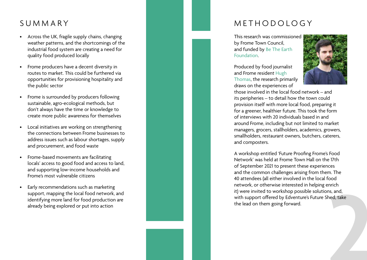- Across the UK, fragile supply chains, changing weather patterns, and the shortcomings of the industrial food system are creating a need for quality food produced locally
- Frome producers have a decent diversity in routes to market. This could be furthered via opportunities for provisioning hospitality and the public sector
- Frome is surrounded by producers following sustainable, agro-ecological methods, but don't always have the time or knowledge to create more public awareness for themselves
- Local initiatives are working on strengthening the connections between Frome businesses to address issues such as labour shortages, supply and procurement, and food waste
- Frome-based movements are facilitating locals' access to good food and access to land, and supporting low-income households and Frome's most vulnerable citizens
- Early recommendations such as marketing support, mapping the local food network, and identifying more land for food production are already being explored or put into action

#### SUMMARY NETHODOLOGY

This research was commissioned by Frome Town Council, and funded by [Be The Earth](https://www.betheearth.foundation/)  [Foundation.](https://www.betheearth.foundation/)

Produced by food journalist and Frome resident [Hugh](http://hughlthomas.com/)  [Thomas](http://hughlthomas.com/), the research primarily draws on the experiences of



those involved in the local food network – and its peripheries – to detail how the town could provision itself with more local food, preparing it for a greener, healthier future. This took the form of interviews with 20 individuals based in and around Frome, including but not limited to market managers, grocers, stallholders, academics, growers, smallholders, restaurant owners, butchers, caterers, and composters.

A workshop entitled 'Future Proofing Frome's Food Network' was held at Frome Town Hall on the 17th of September 2021 to present these experiences and the common challenges arising from them. The 40 attendees (all either involved in the local food network, or otherwise interested in helping enrich it) were invited to workshop possible solutions, and, with support offered by Edventure's Future Shed, take the lead on them going forward. ns, and,<br>hed, take<br>**2**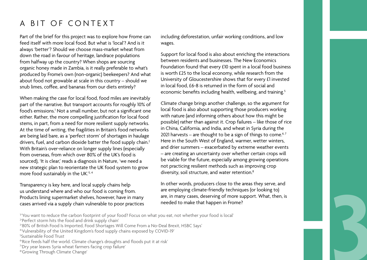#### A BIT OF CONTEXT

Part of the brief for this project was to explore how Frome can feed itself with more local food. But what is 'local'? And is it always 'better'? Should we choose mass-market wheat from down the road in favour of heritage, landrace populations from halfway up the country? When shops are sourcing organic honey made in Zambia, is it really preferable to what's produced by Frome's own (non-organic) beekeepers? And what about food not growable at scale in this country – should we snub limes, coffee, and bananas from our diets entirely?

When making the case for local food, food miles are inevitably part of the narrative. But transport accounts for roughly 10% of food's emissions.<sup>1</sup> Not a small number, but not a significant one either. Rather, the more compelling justification for local food stems, in part, from a need for more resilient supply networks. At the time of writing, the fragilities in Britain's food networks are being laid bare, as a 'perfect storm' of shortages in haulage drivers, fuel, and carbon dioxide batter the food supply chain.<sup>2</sup> With Britain's over-reliance on longer supply lines (especially from overseas, from which over 80% of the UK's food is sourced), 'It is clear,' reads a diagnosis in Nature, 'we need a new strategic plan to reorientate the UK food system to grow more food sustainably in the UK.'3, 4

Transparency is key here, and local supply chains help us understand where and who our food is coming from. Products lining supermarket shelves, however, have in many cases arrived via a supply chain vulnerable to poor practices is understand where and who our food is coming from. The employing climate-friendly techniques (or looking to)<br>
Products lining supermarket shelves, however, have in many are, in many cases, deserving of more support. What

including deforestation, unfair working conditions, and low wages.

Support for local food is also about enriching the interactions between residents and businesses. The New Economics Foundation found that every £10 spent in a local food business is worth £25 to the local economy, while research from the University of Gloucestershire shows that for every £1 invested in local food, £6-8 is returned in the form of social and economic benefits including health, wellbeing, and training.<sup>5</sup>

Climate change brings another challenge, so the argument for local food is also about supporting those producers working with nature (and informing others about how this might be possible) rather than against it. Crop failures – like those of rice in China, California, and India, and wheat in Syria during the 2021 harvests – are thought to be a sign of things to come.<sup>6,7</sup> Here in the South West of England, warmer, wetter winters, and drier summers – exacerbated by extreme weather events – are creating an uncertainty over whether certain crops will be viable for the future, especially among growing operations not practicing resilient methods such as improving crop diversity, soil structure, and water retention.<sup>8</sup>

In other words, producers close to the areas they serve, and are employing climate-friendly techniques (or looking to) are, in many cases, deserving of more support. What, then, is needed to make that happen in Frome?

- <sup>1</sup>'You want to reduce the carbon footprint of your food? Focus on what you eat, not whether your food is local'
- 2 ['Perfect storm hits the food and drink supply chain'](https://www.foodmanufacture.co.uk/Article/2021/10/04/Perfect-storm-hits-the-food-and-drink-supply-chain)
- 3 ['80% of British Food Is Imported, Food Shortages Will Come From a No-Deal Brexit, HSBC Says'](https://www.businessinsider.com/no-deal-brexit-percentage-british-food-imported-shortages-2019-1?r=US&IR=T)
- 4 ['Vulnerability of the United Kingdom's food supply chains exposed by COVID-19'](https://www.nature.com/articles/s43016-020-0097-7)
- 5 [Sustainable Food Trust](https://sustainablefoodtrust.org/articles/why-local-food-can-restore-our-failing-food-system/)
- $\lq$ ['Rice feeds half the world. Climate change's droughts and floods put it at risk'](https://www.sciencenews.org/article/rice-agriculture-feeds-world-climate-change-drought-flood-risk)
- 7 ['Dry year leaves Syria wheat farmers facing crop failure'](https://www.france24.com/en/live-news/20211005-dry-year-leaves-syria-wheat-farmers-facing-crop-failure)
- <sup>8</sup>'Growing Through Climate Change'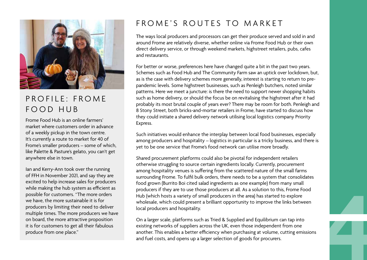

#### $PROFII F \cdot FROMF$ FOOD HUB

Frome Food Hub is an online farmers' market where customers order in advance of a weekly pickup in the town centre. It's currently a route to market for 40 of Frome's smaller producers – some of which, like Palette & Pasture's gelato, you can't get anywhere else in town.

Ian and Kerry-Ann took over the running of FFH in November 2021, and say they are excited to help increase sales for producers while making the hub system as efficient as possible for customers. "The more orders we have, the more sustainable it is for producers by limiting their need to deliver multiple times. The more producers we have on board, the more attractive proposition it is for customers to get all their fabulous produce from one place."

#### FROME'S ROUTES TO MARKET

The ways local producers and processors can get their produce served and sold in and around Frome are relatively diverse, whether online via Frome Food Hub or their own direct delivery service, or through weekend markets, highstreet retailers, pubs, cafes and restaurants.

For better or worse, preferences here have changed quite a bit in the past two years. Schemes such as Food Hub and The Community Farm saw an uptick over lockdown, but, as is the case with delivery schemes more generally, interest is starting to return to prepandemic levels. Some highstreet businesses, such as Penleigh butchers, noted similar patterns. Here we meet a juncture: is there the need to support newer shopping habits such as home delivery, or should the focus be on revitalising the highstreet after it had probably its most brutal couple of years ever? There may be room for both. Penleigh and 8 Stony Street, both bricks-and-mortar retailers in Frome, have started to discuss how they could initiate a shared delivery network utilising local logistics company Priority Express.

Such initiatives would enhance the interplay between local food businesses, especially among producers and hospitality – logistics in particular is a tricky business, and there is yet to be one service that Frome's food network can utilise more broadly.

Shared procurement platforms could also be pivotal for independent retailers otherwise struggling to source certain ingredients locally. Currently, procurement among hospitality venues is suffering from the scattered nature of the small farms surrounding Frome. To fulfil bulk orders, there needs to be a system that consolidates food grown (Burrito Boi cited salad ingredients as one example) from many small producers if they are to use those producers at all. As a solution to this, Frome Food Hub (which hosts a variety of small producers in the area) has started to explore wholesale, which could present a brilliant opportunity to improve the links between local producers and hospitality.

On a larger scale, platforms such as Tried & Supplied and Equilibrium can tap into existing networks of suppliers across the UK, even those independent from one another. This enables a better efficiency when purchasing at volume, cutting emissions producers if they are to use those producers at all. As a solution to this, Frome Food<br>Hub (which hosts a variety of small producers in the area) has started to explore<br>wholesale, which could present a brilliant opportunit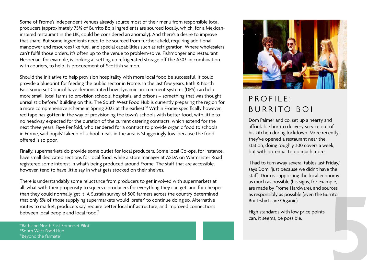Some of Frome's independent venues already source most of their menu from responsible local producers (approximately 75% of Burrito Boi's ingredients are sourced locally, which, for a Mexicaninspired restaurant in the UK, could be considered an anomaly). And there's a desire to improve that share. But some ingredients need to be sourced from further afield, requiring additional manpower and resources like fuel, and special capabilities such as refrigeration. Where wholesalers can't fulfil those orders, it's often up to the venue to problem-solve. Fishmonger and restaurant Hesperian, for example, is looking at setting up refrigerated storage off the A303, in combination with couriers, to help its procurement of Scottish salmon.

Should the initiative to help provision hospitality with more local food be successful, it could provide a blueprint for feeding the public sector in Frome. In the last few years, Bath & North East Somerset Council have demonstrated how dynamic procurement systems (DPS) can help more small, local farms to provision schools, hospitals, and prisons – something that was thought unrealistic before.<sup>9</sup> Building on this, The South West Food Hub is currently preparing the region for a more comprehensive scheme in Spring 2022 at the earliest.<sup>10</sup> Within Frome specifically however, red tape has gotten in the way of provisioning the town's schools with better food, with little to no headway expected for the duration of the current catering contracts, which extend for the next three years. Faye Penfold, who tendered for a contract to provide organic food to schools in Frome, said pupils' takeup of school meals in the area is 'staggeringly low' because the food offered is so poor.

Finally, supermarkets do provide some outlet for local producers. Some local Co-ops, for instance, have small dedicated sections for local food, while a store manager at ASDA on Warminster Road registered some interest in what's being produced around Frome. The staff that are accessible, however, tend to have little say in what gets stocked on their shelves.

There is understandably some reluctance from producers to get involved with supermarkets at all, what with their propensity to squeeze producers for everything they can get, and for cheaper than they could normally get it. A Sustain survey of 500 farmers across the country determined that only 5% of those supplying supermarkets would 'prefer' to continue doing so. Alternative routes to market, producers say, require better local infrastructure, and improved connections The than they could normally get it. A Sustain survey of 500 farmers across the country determined<br>that only 5% of those supplying supermarkets would 'prefer' to continue doing so. Alternative<br>routes to market, producers s

['Bath and North East Somerset Pilot'](https://equilibrium-markets.com/banes-pilot.html)  10[South West Food Hub](https://www.thesouthwestfoodhub.co.uk/) 1[1'Beyond the farmate'](https://www.sustainweb.org/publications/beyond-the-farmgate/)



## $PROFII F$ BURRITO BOI

Dom Palmer and co. set up a hearty and affordable burrito delivery service out of his kitchen during lockdown. More recently, they've opened a restaurant near the station, doing roughly 300 covers a week, but with potential to do much more.

'I had to turn away several tables last Friday,' says Dom, 'just because we didn't have the staff.' Dom is supporting the local economy as much as possible (his signs, for example, are made by Frome Hardware), and sources as responsibly as possible (even the Burrito Boi t-shirts are Organic).

High standards with low price points can, it seems, be possible.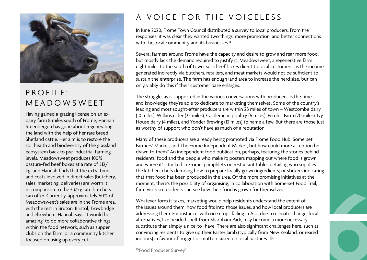

### $PROFII F$ MEADOWSWEET

Having gained a grazing license on an exdairy farm 8 miles south of Frome, Hannah Steenbergen has gone about regenerating the land with the help of her rare breed Shetland cattle. Her aim is to restore the soil health and biodiversity of the grassland ecosystem back to pre-industrial farming levels. Meadowsweet produces 100% pasture-fed beef boxes at a rate of £12/ kg, and Hannah finds that the extra time and costs involved in direct sales (butchery, sales, marketing, deliveries) are worth it in comparison to the £3/kg rate butchers can offer. Currently, approximately 60% of Meadowsweet's sales are in the Frome area, with the rest in Bruton, Bristol, Trowbridge and elsewhere. Hannah says 'it would be amazing' to do more collaborative things within the food network, such as supper clubs on the farm, or a community kitchen focused on using up every cut.

#### A VOICE FOR THE VOICELESS

In June 2020, Frome Town Council distributed a survey to local producers. From the responses, it was clear they wanted two things: more promotion, and better connections with the local community and its businesses.<sup>12</sup>

Several farmers around Frome have the capacity and desire to grow and rear more food, but mostly lack the demand required to justify it. Meadowsweet, a regenerative farm eight miles to the south of town, sells beef boxes direct to local customers, as the income generated indirectly via butchers, retailers, and meat markets would not be sufficient to sustain the enterprise. The farm has enough land area to increase the herd size, but can only viably do this if their customer base enlarges.

The struggle, as is supported in the various conversations with producers, is the time and knowledge they're able to dedicate to marketing themselves. Some of the country's leading and most sought-after producers are within 25 miles of town – Westcombe dairy (10 miles), Wilkins cider (23 miles), Castlemead poultry (6 miles), Fernhill Farm (20 miles), Ivy House dairy (4 miles), and Yonder Brewing (13 miles) to name a few. But there are those just as worthy of support who don't have as much of a reputation.

Many of these producers are already being promoted via Frome Food Hub, Somerset Farmers' Market, and The Frome Independent Market, but how could more attention be drawn to them? An independent food publication, perhaps, featuring the stories behind residents' food and the people who make it; posters mapping out where food is grown and where it's stocked in Frome; pamphlets on restaurant tables detailing who supplies the kitchen; chefs demoing how to prepare locally grown ingredients; or stickers indicating that that food has been produced in the area. Of the more promising initiatives at the moment, there's the possibility of organising, in collaboration with Somerset Food Trail, farm visits so residents can see how their food is grown for themselves.

Whatever form it takes, marketing would help residents understand the extent of the issues around them, how food fits into those issues, and how local producers are addressing them. For instance: with rice crops failing in Asia due to climate change, local alternatives, like pearled spelt from Sharpham Park, may become a more necessary substitute than simply a nice-to -have. There are also significant challenges here, such as convincing residents to give up their Easter lamb (typically from New Zealand, or reared indoors) in favour of hogget or mutton raised on local pastures. farm visits so residents can see how their food is grown for themselves.<br>Whatever form it takes, marketing would help residents understand the extent of<br>the issues around them, how food fits into those issues, and how loca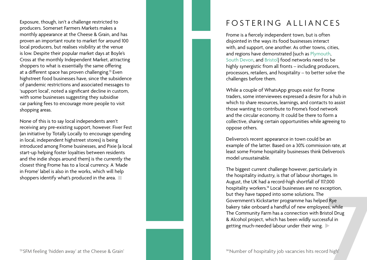Exposure, though, isn't a challenge restricted to producers. Somerset Farmers Markets makes a monthly appearance at the Cheese & Grain, and has proven an important route to market for around 100 local producers, but realises visibility at the venue is low. Despite their popular market days at Boyle's Cross at the monthly Independent Market, attracting shoppers to what is essentially the same offering at a different space has proven challenging.<sup>13</sup> Even highstreet food businesses have, since the subsidence of pandemic restrictions and associated messages to 'support local', noted a significant decline in custom, with some businesses suggesting they subsidise car parking fees to encourage more people to visit shopping areas.

None of this is to say local independents aren't receiving any pre-existing support, however. Fiver Fest (an initiative by Totally Locally to encourage spending in local, independent highstreet stores) is being introduced among Frome businesses, and Pixie (a local start-up helping foster loyalties between residents and the indie shops around them) is the currently the closest thing Frome has to a local currency. A 'Made in Frome' label is also in the works, which will help shoppers identify what's produced in the area.

#### FOSTERING ALLIANCES

Frome is a fiercely independent town, but is often disjointed in the ways its food businesses interact with, and support, one another. As other towns, cities, and regions have demonstrated (such as [Plymouth](https://foodplymouth.org/), [South Devon](https://southdevonfoodalliance.adoddle.org/), and [Bristol](https://bristolfoodunion.org/)) food networks need to be highly synergistic from all fronts – including producers, processors, retailers, and hospitality – to better solve the challenges before them.

While a couple of WhatsApp groups exist for Frome traders, some interviewees expressed a desire for a hub in which to share resources, learnings, and contacts to assist those wanting to contribute to Frome's food network and the circular economy. It could be there to form a collective, sharing certain opportunities while agreeing to oppose others.

Deliveroo's recent appearance in town could be an example of the latter. Based on a 30% commission rate, at least some Frome hospitality businesses think Deliveroo's model unsustainable.

The biggest current challenge however, particularly in the hospitality industry, is that of labour shortages. In August, the UK had a record-high shortfall of 117,000 hospitality workers.<sup>14</sup> Local businesses are no exception, but they have tapped into some solutions. The Government's Kickstarter programme has helped Rye bakery take onboard a handful of new employees, while The Community Farm has a connection with Bristol Drug & Alcohol project, which has been wildly successful in getting much-needed labour under their wing. 14'Number of hospitality job vacancies hits record high'<br>
14'Number of hospitality job vacancies his relations. The<br>
17'Number of hospitality job vacancies hits record high'<br>
17'Number of hospitality job vacancies hits rec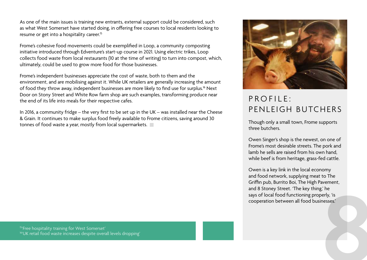As one of the main issues is training new entrants, external support could be considered, such as what West Somerset have started doing, in offering free courses to local residents looking to resume or get into a hospitality career.<sup>15</sup>

Frome's cohesive food movements could be exemplified in Loop, a community composting initiative introduced through Edventure's start-up course in 2021. Using electric trikes, Loop collects food waste from local restaurants (10 at the time of writing) to turn into compost, which, ultimately, could be used to grow more food for those businesses.

Frome's independent businesses appreciate the cost of waste, both to them and the environment, and are mobilising against it. While UK retailers are generally increasing the amount of food they throw away, independent businesses are more likely to find use for surplus.<sup>16</sup> Next Door on Stony Street and White Row farm shop are such examples, transforming produce near the end of its life into meals for their respective cafes.

In 2016, a community fridge – the very first to be set up in the UK – was installed near the Cheese & Grain. It continues to make surplus food freely available to Frome citizens, saving around 30 tonnes of food waste a year, mostly from local supermarkets.



## PROFILE<sup>.</sup> PENLEIGH BUTCHERS

Though only a small town, Frome supports three butchers.

Owen Singer's shop is the newest, on one of Frome's most desirable streets. The pork and lamb he sells are raised from his own hand, while beef is from heritage, grass-fed cattle.

Owen is a key link in the local economy and food network, supplying meat to The Griffin pub, Burrito Boi, The High Pavement, and 8 Stoney Street. 'The key thing,' he says of local food functioning properly, 'is cooperation between all food businesses.' 16'-<br>16'-<br>16'-<br>16'-<br>16'-<br>16'- I'- Free hospitality training for West Somerset'<br> **8'-** If the positive overall levels dropping' **8**<br> **8'**- **18'- Positive of the company of the state increases. The company of the state inc**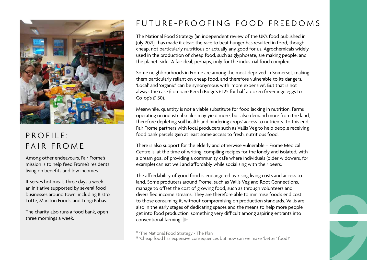

#### $PROF II F$ : FAIR FROME

Among other endeavours, Fair Frome's mission is to help feed Frome's residents living on benefits and low incomes.

It serves hot meals three days a week – an initiative supported by several food businesses around town, including Bistro Lotte, Marston Foods, and Lungi Babas.

The charity also runs a food bank, open three mornings a week.

#### FUTURE-PROOFING FOOD FREEDOMS

The National Food Strategy (an independent review of the UK's food published in July 2021), has made it clear: the race to beat hunger has resulted in food, though cheap, not particularly nutritious or actually any good for us. Agrochemicals widely used in the production of cheap food, such as glyphosate, are making people, and the planet, sick. A fair deal, perhaps, only for the industrial food complex.

Some neighbourhoods in Frome are among the most deprived in Somerset, making them particularly reliant on cheap food, and therefore vulnerable to its dangers. 'Local' and 'organic' can be synonymous with 'more expensive'. But that is not always the case (compare Beech Ridge's £1.25 for half a dozen free-range eggs to Co-op's £1.30).

Meanwhile, quantity is not a viable substitute for food lacking in nutrition. Farms operating on industrial scales may yield more, but also demand more from the land, therefore depleting soil health and hindering crops' access to nutrients. To this end, Fair Frome partners with local producers such as Vallis Veg to help people receiving food bank parcels gain at least some access to fresh, nutritious food.

There is also support for the elderly and otherwise vulnerable – Frome Medical Centre is, at the time of writing, compiling recipes for the lonely and isolated, with a dream goal of providing a community cafe where individuals (older widowers, for example) can eat well and affordably while socialising with their peers.

The affordability of good food is endangered by rising living costs and access to land. Some producers around Frome, such as Vallis Veg and Root Connections, manage to offset the cost of growing food, such as through volunteers and diversified income streams. They are therefore able to minimise food's end cost to those consuming it, without compromising on production standards. Vallis are also in the early stages of dedicating spaces and the means to help more people get into food production, something very difficult among aspiring entrants into manage to onset the cost of growing food, such as through volumeers and<br>diversified income streams. They are therefore able to minimise food's end cost<br>to those consuming it, without compromising on production standards. V

<sup>&</sup>lt;sup>18</sup> ['Cheap food has expensive consequences but how can we make 'better' food?'](https://www.foodnavigator.com/Article/2017/08/29/Cheap-food-has-expensive-consequences-but-how-can-we-make-better-food)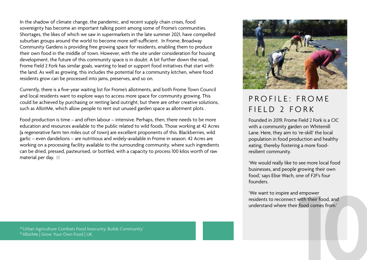In the shadow of climate change, the pandemic, and recent supply chain crises, food sovereignty has become an important talking point among some of Frome's communities. Shortages, the likes of which we saw in supermarkets in the late summer 2021, have compelled suburban groups around the world to become more self-sufficient. In Frome, Broadway Community Gardens is providing free growing space for residents, enabling them to produce their own food in the middle of town. However, with the site under consideration for housing development, the future of this community space is in doubt. A bit further down the road, Frome Field 2 Fork has similar goals, wanting to lead or support food initiatives that start with the land. As well as growing, this includes the potential for a community kitchen, where food residents grow can be processed into jams, preserves, and so on.

Currently, there is a five-year waiting list for Frome's allotments, and both Frome Town Council and local residents want to explore ways to access more space for community growing. This could be achieved by purchasing or renting land outright, but there are other creative solutions, such as AllotMe, which allow people to rent out unused garden space as allotment plots .

Food production is time – and often labour – intensive. Perhaps, then, there needs to be more education and resources available to the public related to wild foods. Those working at 42 Acres (a regenerative farm ten miles out of town) are excellent proponents of this. Blackberries, wild garlic – even dandelions – are nutritious and widely-available in Frome in season. 42 Acres are working on a processing facility available to the surrounding community, where such ingredients can be dried, pressed, pasteurised, or bottled, with a capacity to process 100 kilos worth of raw material per day.



#### $PROFII F \cdot FROMF$ FIELD 2 FORK

Founded in 2019, Frome Field 2 Fork is a CIC with a community garden on Whitemill Lane. Here, they aim to 're-skill' the local population in food production and healthy eating, thereby fostering a more foodresilient community.

'We would really like to see more local food businesses, and people growing their own food,' says Elise Wach, one of F2F's four founders.

'We want to inspire and empower residents to reconnect with their food, and understand where their food comes from.' **10** 1[9'Urban Agriculture Combats Food Insecurity, Builds Community'](https://eos.org/articles/urban-agriculture-combats-food-insecurity-builds-community) 

<sup>20</sup> Allot Me | Grow Your Own Food | UK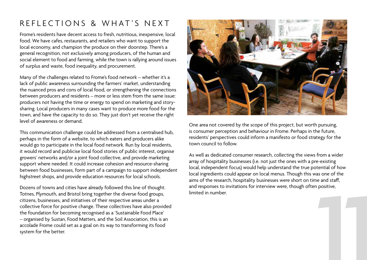#### REFLECTIONS & WHAT'S NEXT

Frome's residents have decent access to fresh, nutritious, inexpensive, local food. We have cafes, restaurants, and retailers who want to support the local economy, and champion the produce on their doorstep. There's a general recognition, not exclusively among producers, of the human and social element to food and farming, while the town is rallying around issues of surplus and waste, food inequality, and procurement.

Many of the challenges related to Frome's food network – whether it's a lack of public awareness surrounding the farmers' market, understanding the nuanced pros and cons of local food, or strengthening the connections between producers and residents – more or less stem from the same issue: producers not having the time or energy to spend on marketing and storysharing. Local producers in many cases want to produce more food for the town, and have the capacity to do so. They just don't yet receive the right level of awareness or demand.

This communication challenge could be addressed from a centralised hub, perhaps in the form of a website, to which eaters and producers alike would go to participate in the local food network. Run by local residents, it would record and publicise local food stories of public interest, organise growers' networks and/or a joint food collective, and provide marketing support where needed. It could increase cohesion and resource-sharing between food businesses, form part of a campaign to support independent highstreet shops, and provide education resources for local schools.

Dozens of towns and cities have already followed this line of thought. Totnes, Plymouth, and Bristol bring together the diverse food groups, citizens, businesses, and initiatives of their respective areas under a collective force for positive change. These collectives have also provided the foundation for becoming recognised as a 'Sustainable Food Place' – organised by Sustan, Food Matters, and the Soil Association, this is an accolade Frome could set as a goal on its way to transforming its food system for the better.



One area not covered by the scope of this project, but worth pursuing, is consumer perception and behaviour in Frome. Perhaps in the future, residents' perspectives could inform a manifesto or food strategy for the town council to follow.

As well as dedicated consumer research, collecting the views from a wider array of hospitality businesses (i.e. not just the ones with a pre-existing local, independent focus) would help understand the true potential of how local ingredients could appear on local menus. Though this was one of the aims of the research, hospitality businesses were short on time and staff, and responses to invitations for interview were, though often positive, limited in number. **11**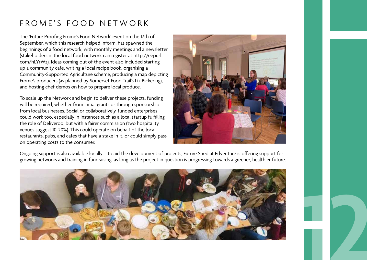#### FROME'S FOOD NETWORK

The 'Future Proofing Frome's Food Network' event on the 17th of September, which this research helped inform, has spawned the beginnings of a food network, with monthly meetings and a newsletter (stakeholders in the local food network can register at http://eepurl. com/hLYrWz). Ideas coming out of the event also included starting up a community cafe, writing a local recipe book, organising a Community-Supported Agriculture scheme, producing a map depicting Frome's producers (as planned by Somerset Food Trail's Liz Pickering), and hosting chef demos on how to prepare local produce.

To scale up the Network and begin to deliver these projects, funding will be required, whether from initial grants or through sponsorship from local businesses. Social or collaboratively-funded enterprises could work too, especially in instances such as a local startup fulfilling the role of Deliveroo, but with a fairer commission (two hospitality venues suggest 10-20%). This could operate on behalf of the local restaurants, pubs, and cafes that have a stake in it, or could simply pass on operating costs to the consumer.



**12**

Ongoing support is also available locally – to aid the development of projects, Future Shed at Edventure is offering support for growing networks and training in fundraising, as long as the project in question is progressing towards a greener, healthier future.

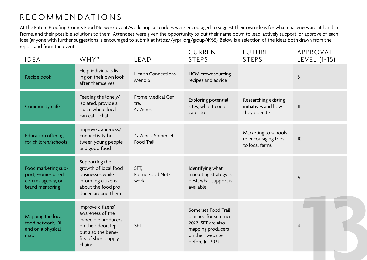#### RECOMMENDATIONS

At the Future Proofing Frome's Food Network event/workshop, attendees were encouraged to suggest their own ideas for what challenges are at hand in Frome, and their possible solutions to them. Attendees were given the opportunity to put their name down to lead, actively support, or approve of each idea (anyone with further suggestions is encouraged to submit at https://yrpri.org/group/4935). Below is a selection of the ideas both drawn from the report and from the event.  $\sim$  Current control of  $\sim$  $\overline{A}$  $-$ 

| Help individuals liv-<br><b>Health Connections</b><br>HCM crowdsourcing<br>Recipe book<br>ing on their own look<br>$\mathbf{3}$<br>recipes and advice<br>Mendip<br>after themselves<br>Feeding the lonely/<br>Frome Medical Cen-<br>Researching existing<br>Exploring potential<br>isolated, provide a<br>tre,<br>initiatives and how<br>Community cafe<br>sites, who it could<br>11<br>space where locals<br>42 Acres<br>they operate<br>cater to<br>can eat + chat<br>Improve awareness/<br>Marketing to schools<br><b>Education offering</b><br>connectivity be-<br>42 Acres, Somerset<br>re encouraging trips<br>10<br>for children/schools<br>tween young people<br>Food Trail<br>to local farms<br>and good food<br>Supporting the<br>Food marketing sup-<br>growth of local food<br>Identifying what<br>SFT,<br>port, Frome-based<br>businesses while<br>Frome Food Net-<br>marketing strategy is<br>6<br>best, what support is<br>informing citizens<br>work<br>comms agency, or<br>available<br>about the food pro-<br>brand mentoring<br>duced around them<br>Improve citizens'<br>Somerset Food Trail<br>awareness of the<br>Mapping the local<br>planned for summer<br>incredible producers<br>food network, IRL<br>2022, SFT are also<br>on their doorstep,<br><b>SFT</b><br>4<br>and on a physical<br>mapping producers<br>but also the bene-<br>on their website<br>map<br>fits of short supply<br>before Jul 2022<br>chains | <b>IDEA</b> | WHY? | <b>LEAD</b> | <b>CURRENI</b><br><b>STEPS</b> | FUIURE<br><b>STEPS</b> | APPROVAL<br>LEVEL (1-15) |  |
|---------------------------------------------------------------------------------------------------------------------------------------------------------------------------------------------------------------------------------------------------------------------------------------------------------------------------------------------------------------------------------------------------------------------------------------------------------------------------------------------------------------------------------------------------------------------------------------------------------------------------------------------------------------------------------------------------------------------------------------------------------------------------------------------------------------------------------------------------------------------------------------------------------------------------------------------------------------------------------------------------------------------------------------------------------------------------------------------------------------------------------------------------------------------------------------------------------------------------------------------------------------------------------------------------------------------------------------------------------------------------------------------------------------------------------------------|-------------|------|-------------|--------------------------------|------------------------|--------------------------|--|
|                                                                                                                                                                                                                                                                                                                                                                                                                                                                                                                                                                                                                                                                                                                                                                                                                                                                                                                                                                                                                                                                                                                                                                                                                                                                                                                                                                                                                                             |             |      |             |                                |                        |                          |  |
|                                                                                                                                                                                                                                                                                                                                                                                                                                                                                                                                                                                                                                                                                                                                                                                                                                                                                                                                                                                                                                                                                                                                                                                                                                                                                                                                                                                                                                             |             |      |             |                                |                        |                          |  |
|                                                                                                                                                                                                                                                                                                                                                                                                                                                                                                                                                                                                                                                                                                                                                                                                                                                                                                                                                                                                                                                                                                                                                                                                                                                                                                                                                                                                                                             |             |      |             |                                |                        |                          |  |
|                                                                                                                                                                                                                                                                                                                                                                                                                                                                                                                                                                                                                                                                                                                                                                                                                                                                                                                                                                                                                                                                                                                                                                                                                                                                                                                                                                                                                                             |             |      |             |                                |                        |                          |  |
|                                                                                                                                                                                                                                                                                                                                                                                                                                                                                                                                                                                                                                                                                                                                                                                                                                                                                                                                                                                                                                                                                                                                                                                                                                                                                                                                                                                                                                             |             |      |             |                                |                        |                          |  |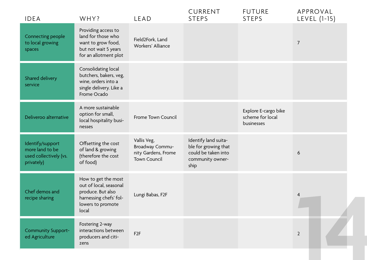| Connecting people                                                           | Providing access to                                                                                                        |                                                                              |                                                                                                 |                                                        |                |  |
|-----------------------------------------------------------------------------|----------------------------------------------------------------------------------------------------------------------------|------------------------------------------------------------------------------|-------------------------------------------------------------------------------------------------|--------------------------------------------------------|----------------|--|
| to local growing<br>spaces                                                  | land for those who<br>want to grow food,<br>but not wait 5 years<br>for an allotment plot                                  | Field2Fork, Land<br>Workers' Alliance                                        |                                                                                                 |                                                        | $\overline{7}$ |  |
| Shared delivery<br>service                                                  | Consolidating local<br>butchers, bakers, veg,<br>wine, orders into a<br>single delivery. Like a<br>Frome Ocado             |                                                                              |                                                                                                 |                                                        |                |  |
| Deliveroo alternative                                                       | A more sustainable<br>option for small,<br>local hospitality busi-<br>nesses                                               | Frome Town Council                                                           |                                                                                                 | Explore E-cargo bike<br>scheme for local<br>businesses |                |  |
| Identify/support<br>more land to be<br>used collectively (vs.<br>privately) | Offsetting the cost<br>of land & growing<br>(therefore the cost<br>of food)                                                | Vallis Veg,<br>Broadway Commu-<br>nity Gardens, Frome<br><b>Town Council</b> | Identify land suita-<br>ble for growing that<br>could be taken into<br>community owner-<br>ship |                                                        | 6              |  |
| Chef demos and<br>recipe sharing                                            | How to get the most<br>out of local, seasonal<br>produce. But also<br>harnessing chefs' fol-<br>lowers to promote<br>local | Lungi Babas, F2F                                                             |                                                                                                 |                                                        | 4              |  |
| <b>Community Support-</b><br>ed Agriculture                                 | Fostering 2-way<br>interactions between<br>producers and citi-<br>zens                                                     | F <sub>2F</sub>                                                              |                                                                                                 |                                                        | $\overline{2}$ |  |
|                                                                             |                                                                                                                            |                                                                              |                                                                                                 |                                                        |                |  |